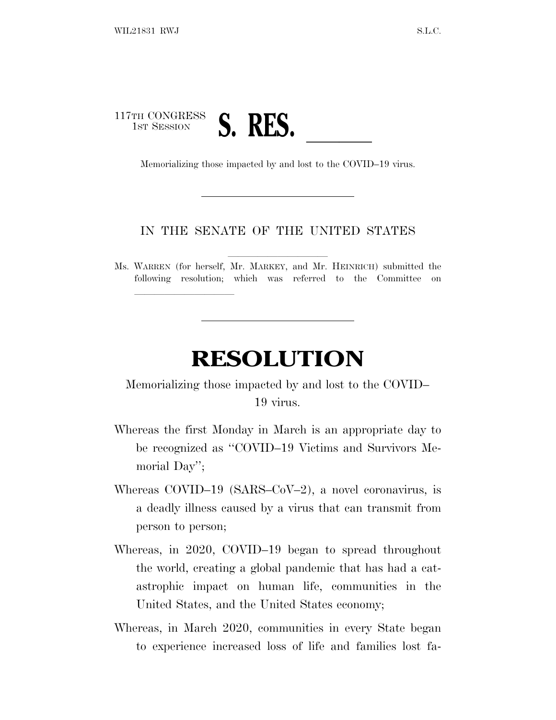## 117TH CONGRESS TH CONGRESS **S. RES.**<br>Memorializing those impacted by and lost to the COVID–19 virus.

lland and a state of the state of the state of the state of the state of the state of the state of the state o

## IN THE SENATE OF THE UNITED STATES

Ms. WARREN (for herself, Mr. MARKEY, and Mr. HEINRICH) submitted the following resolution; which was referred to the Committee on

## **RESOLUTION**

Memorializing those impacted by and lost to the COVID– 19 virus.

- Whereas the first Monday in March is an appropriate day to be recognized as ''COVID–19 Victims and Survivors Memorial Day'';
- Whereas COVID–19 (SARS–CoV–2), a novel coronavirus, is a deadly illness caused by a virus that can transmit from person to person;
- Whereas, in 2020, COVID–19 began to spread throughout the world, creating a global pandemic that has had a catastrophic impact on human life, communities in the United States, and the United States economy;
- Whereas, in March 2020, communities in every State began to experience increased loss of life and families lost fa-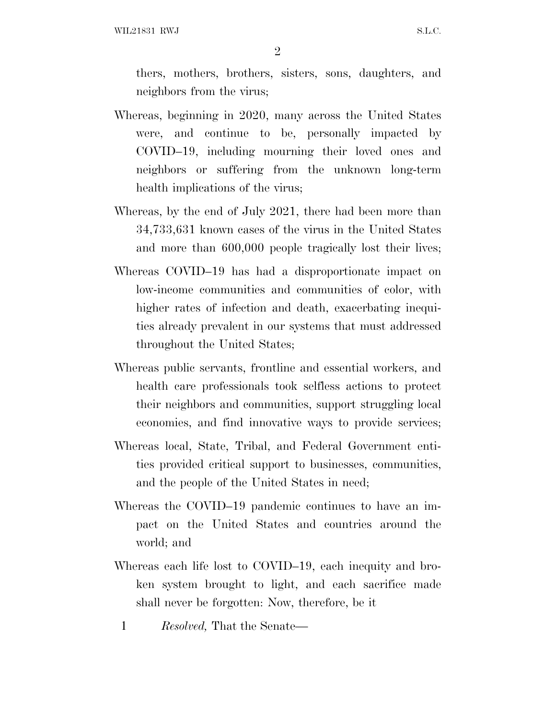WIL21831 RWJ S.L.C.

2

thers, mothers, brothers, sisters, sons, daughters, and neighbors from the virus;

- Whereas, beginning in 2020, many across the United States were, and continue to be, personally impacted by COVID–19, including mourning their loved ones and neighbors or suffering from the unknown long-term health implications of the virus;
- Whereas, by the end of July 2021, there had been more than 34,733,631 known cases of the virus in the United States and more than 600,000 people tragically lost their lives;
- Whereas COVID–19 has had a disproportionate impact on low-income communities and communities of color, with higher rates of infection and death, exacerbating inequities already prevalent in our systems that must addressed throughout the United States;
- Whereas public servants, frontline and essential workers, and health care professionals took selfless actions to protect their neighbors and communities, support struggling local economies, and find innovative ways to provide services;
- Whereas local, State, Tribal, and Federal Government entities provided critical support to businesses, communities, and the people of the United States in need;
- Whereas the COVID–19 pandemic continues to have an impact on the United States and countries around the world; and
- Whereas each life lost to COVID–19, each inequity and broken system brought to light, and each sacrifice made shall never be forgotten: Now, therefore, be it
	- 1 *Resolved,* That the Senate—